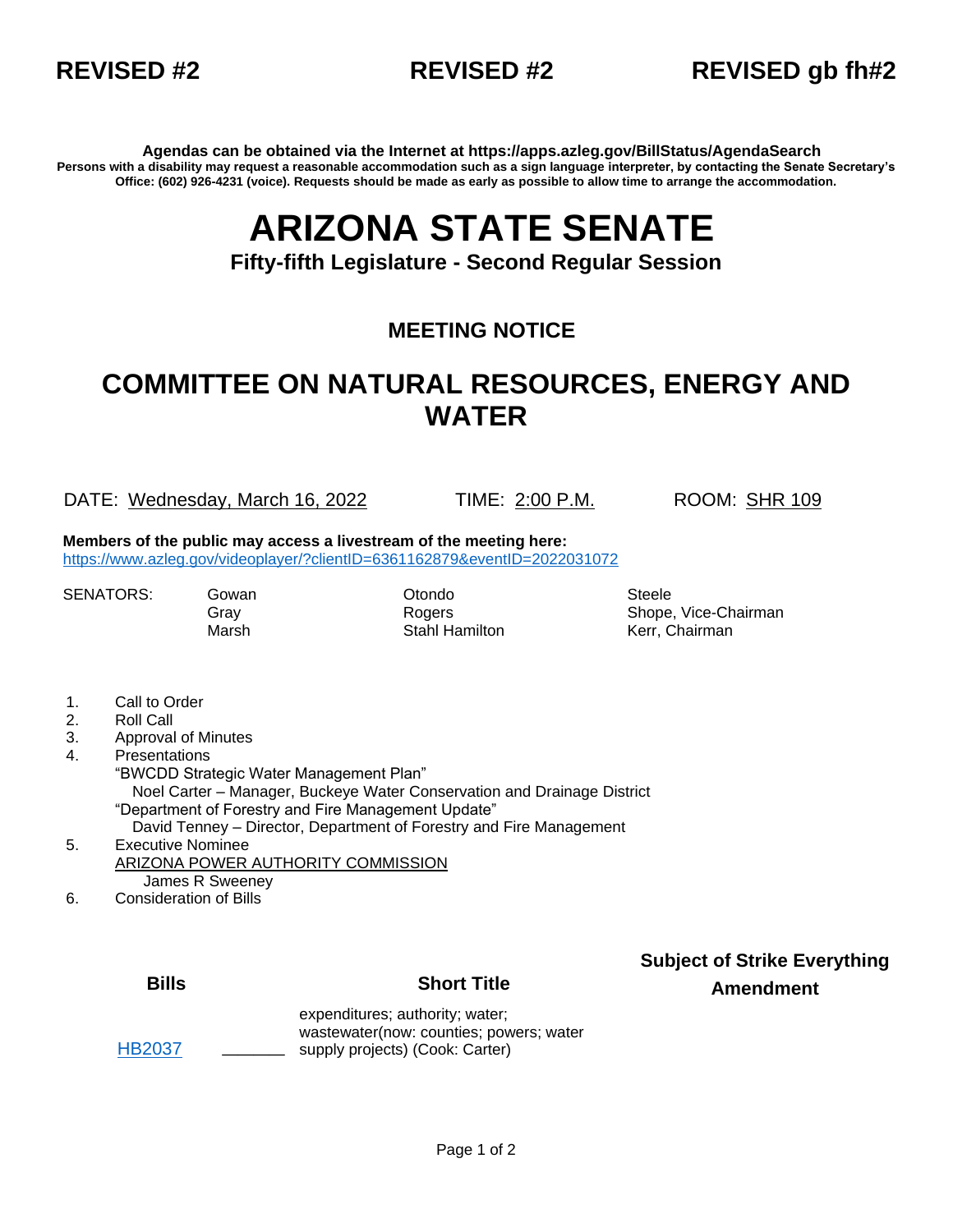

### **REVISED #2 REVISED #2 REVISED gb fh#2**

**Agendas can be obtained via the Internet at https://apps.azleg.gov/BillStatus/AgendaSearch Persons with a disability may request a reasonable accommodation such as a sign language interpreter, by contacting the Senate Secretary's Office: (602) 926-4231 (voice). Requests should be made as early as possible to allow time to arrange the accommodation.**

# **ARIZONA STATE SENATE**

**Fifty-fifth Legislature - Second Regular Session**

#### **MEETING NOTICE**

## **COMMITTEE ON NATURAL RESOURCES, ENERGY AND WATER**

DATE: Wednesday, March 16, 2022 TIME: 2:00 P.M. ROOM: SHR 109

**Members of the public may access a livestream of the meeting here:**  <https://www.azleg.gov/videoplayer/?clientID=6361162879&eventID=2022031072>

SENATORS: Gowan **Otondo** Steele

Marsh **Stahl Hamilton** Kerr, Chairman

Gray Rogers Rogers Shope, Vice-Chairman

- 1. Call to Order
- 2. Roll Call
- 3. Approval of Minutes
- 4. Presentations
	- "BWCDD Strategic Water Management Plan" Noel Carter – Manager, Buckeye Water Conservation and Drainage District "Department of Forestry and Fire Management Update" David Tenney – Director, Department of Forestry and Fire Management
- 5. Executive Nominee ARIZONA POWER AUTHORITY COMMISSION James R Sweeney
- 6. Consideration of Bills

[HB2037](https://apps.azleg.gov/BillStatus/BillOverview/76364) **\_\_\_\_**

#### **Bills Short Title**

**Subject of Strike Everything Amendment**

expenditures; authority; water; wastewater(now: counties; powers; water supply projects) (Cook: Carter)